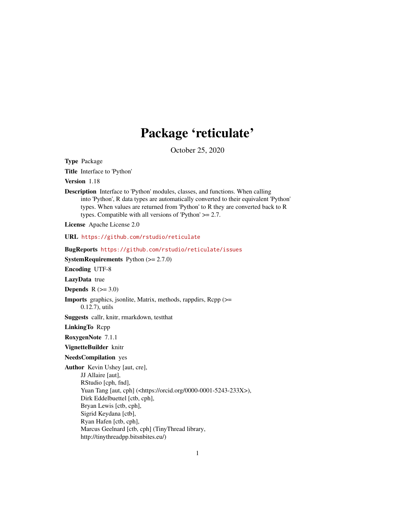# Package 'reticulate'

October 25, 2020

<span id="page-0-0"></span>Type Package

Title Interface to 'Python'

Version 1.18

Description Interface to 'Python' modules, classes, and functions. When calling into 'Python', R data types are automatically converted to their equivalent 'Python' types. When values are returned from 'Python' to R they are converted back to R types. Compatible with all versions of 'Python'  $\geq$  2.7.

License Apache License 2.0

URL <https://github.com/rstudio/reticulate>

BugReports <https://github.com/rstudio/reticulate/issues>

**SystemRequirements** Python  $(>= 2.7.0)$ 

Encoding UTF-8

LazyData true

**Depends**  $R$  ( $>= 3.0$ )

Imports graphics, jsonlite, Matrix, methods, rappdirs, Rcpp (>= 0.12.7), utils

Suggests callr, knitr, rmarkdown, testthat

LinkingTo Rcpp

RoxygenNote 7.1.1

VignetteBuilder knitr

#### NeedsCompilation yes

Author Kevin Ushey [aut, cre], JJ Allaire [aut], RStudio [cph, fnd], Yuan Tang [aut, cph] (<https://orcid.org/0000-0001-5243-233X>), Dirk Eddelbuettel [ctb, cph], Bryan Lewis [ctb, cph], Sigrid Keydana [ctb], Ryan Hafen [ctb, cph], Marcus Geelnard [ctb, cph] (TinyThread library, http://tinythreadpp.bitsnbites.eu/)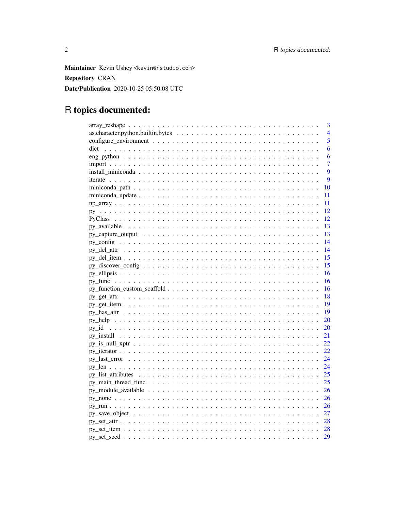Maintainer Kevin Ushey <kevin@rstudio.com> **Repository CRAN** Date/Publication 2020-10-25 05:50:08 UTC

# R topics documented:

| 3                                                                                                                |
|------------------------------------------------------------------------------------------------------------------|
| 4                                                                                                                |
| 5                                                                                                                |
| 6                                                                                                                |
| 6                                                                                                                |
| $\overline{7}$                                                                                                   |
| 9                                                                                                                |
| 9                                                                                                                |
| 10                                                                                                               |
| 11                                                                                                               |
| 11                                                                                                               |
| 12                                                                                                               |
| 12                                                                                                               |
| 13                                                                                                               |
| 13                                                                                                               |
| 14                                                                                                               |
| 14                                                                                                               |
| 15                                                                                                               |
| 15                                                                                                               |
| 16                                                                                                               |
| 16                                                                                                               |
| 16                                                                                                               |
| 18                                                                                                               |
| 19                                                                                                               |
| 19                                                                                                               |
| 20                                                                                                               |
| 20                                                                                                               |
| 21                                                                                                               |
| 22                                                                                                               |
| 22                                                                                                               |
| 24                                                                                                               |
| 24                                                                                                               |
| 25<br>$py\_list\_attributes \ldots \ldots \ldots \ldots \ldots \ldots \ldots \ldots \ldots \ldots \ldots \ldots$ |
| 25                                                                                                               |
| 26                                                                                                               |
| 26                                                                                                               |
| 26                                                                                                               |
| 27                                                                                                               |
|                                                                                                                  |
| 28                                                                                                               |
| 29                                                                                                               |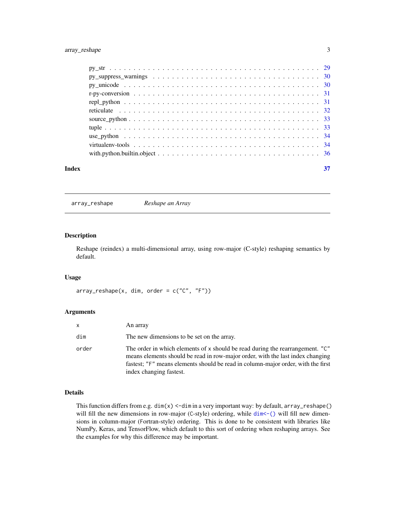<span id="page-2-0"></span>

| Index | 37 |
|-------|----|

array\_reshape *Reshape an Array*

#### Description

Reshape (reindex) a multi-dimensional array, using row-major (C-style) reshaping semantics by default.

#### Usage

 $array\_reshape(x, dim, order = c("C", "F"))$ 

# Arguments

| <b>X</b> | An array                                                                                                                                                                                                                                                                       |
|----------|--------------------------------------------------------------------------------------------------------------------------------------------------------------------------------------------------------------------------------------------------------------------------------|
| dim      | The new dimensions to be set on the array.                                                                                                                                                                                                                                     |
| order    | The order in which elements of x should be read during the rearrangement. "C"<br>means elements should be read in row-major order, with the last index changing<br>fastest; "F" means elements should be read in column-major order, with the first<br>index changing fastest. |

# Details

This function differs from e.g. dim(x) <-dim in a very important way: by default, array\_reshape() will fill the new dimensions in row-major (C-style) ordering, while  $dim \lt-$  () will fill new dimensions in column-major (Fortran-style) ordering. This is done to be consistent with libraries like NumPy, Keras, and TensorFlow, which default to this sort of ordering when reshaping arrays. See the examples for why this difference may be important.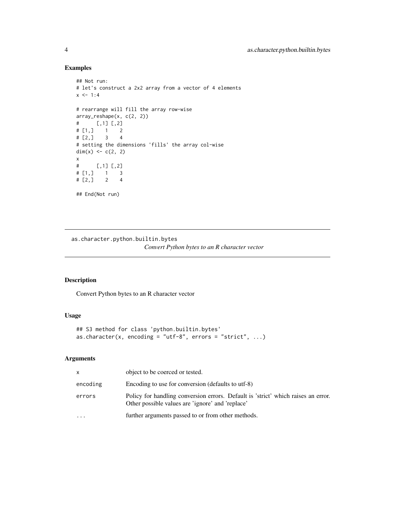# Examples

```
## Not run:
# let's construct a 2x2 array from a vector of 4 elements
x \le -1:4# rearrange will fill the array row-wise
array_reshape(x, c(2, 2))
# [,1] [,2]
# [1,] 1 2
# [2,] 3 4
# setting the dimensions 'fills' the array col-wise
dim(x) <- c(2, 2)x
# [,1] [,2]
# [1,] 1 3
# [2,] 2 4
## End(Not run)
```
as.character.python.builtin.bytes *Convert Python bytes to an R character vector*

# Description

Convert Python bytes to an R character vector

# Usage

```
## S3 method for class 'python.builtin.bytes'
as.character(x, encoding = "utf-8", errors = "strict", \dots)
```

| x        | object to be coerced or tested.                                                                                                       |
|----------|---------------------------------------------------------------------------------------------------------------------------------------|
| encoding | Encoding to use for conversion (defaults to utf-8)                                                                                    |
| errors   | Policy for handling conversion errors. Default is 'strict' which raises an error.<br>Other possible values are 'ignore' and 'replace' |
| $\cdots$ | further arguments passed to or from other methods.                                                                                    |

<span id="page-3-0"></span>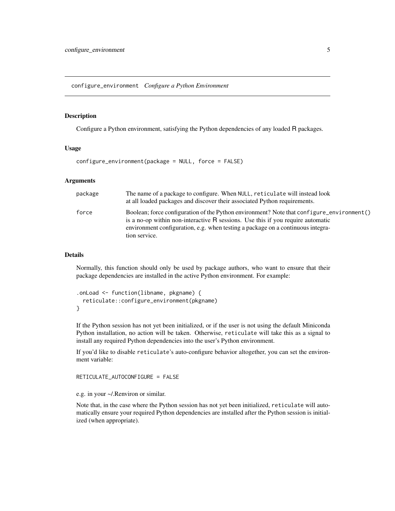<span id="page-4-0"></span>configure\_environment *Configure a Python Environment*

#### Description

Configure a Python environment, satisfying the Python dependencies of any loaded R packages.

#### Usage

configure\_environment(package = NULL, force = FALSE)

# Arguments

| package | The name of a package to configure. When NULL, reticulate will instead look<br>at all loaded packages and discover their associated Python requirements.                                                                                                                                |
|---------|-----------------------------------------------------------------------------------------------------------------------------------------------------------------------------------------------------------------------------------------------------------------------------------------|
| force   | Boolean; force configuration of the Python environment? Note that configure_environment()<br>is a no-op within non-interactive $\bf{R}$ sessions. Use this if you require automatic<br>environment configuration, e.g. when testing a package on a continuous integra-<br>tion service. |

#### Details

Normally, this function should only be used by package authors, who want to ensure that their package dependencies are installed in the active Python environment. For example:

```
.onLoad <- function(libname, pkgname) {
  reticulate::configure_environment(pkgname)
}
```
If the Python session has not yet been initialized, or if the user is not using the default Miniconda Python installation, no action will be taken. Otherwise, reticulate will take this as a signal to install any required Python dependencies into the user's Python environment.

If you'd like to disable reticulate's auto-configure behavior altogether, you can set the environment variable:

RETICULATE\_AUTOCONFIGURE = FALSE

e.g. in your ~/.Renviron or similar.

Note that, in the case where the Python session has not yet been initialized, reticulate will automatically ensure your required Python dependencies are installed after the Python session is initialized (when appropriate).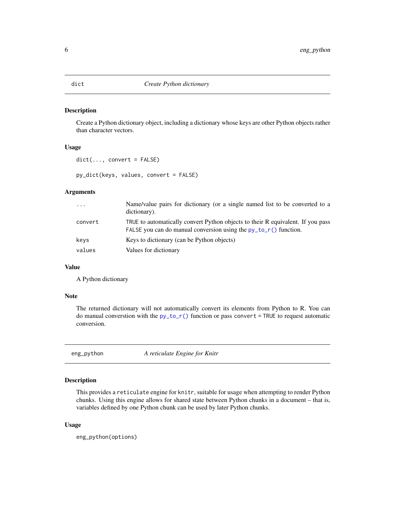<span id="page-5-0"></span>Create a Python dictionary object, including a dictionary whose keys are other Python objects rather than character vectors.

#### Usage

```
dict(..., convert = FALSE)
```
py\_dict(keys, values, convert = FALSE)

#### Arguments

| $\ddots$ | Name/value pairs for dictionary (or a single named list to be converted to a<br>dictionary).                                                          |
|----------|-------------------------------------------------------------------------------------------------------------------------------------------------------|
| convert  | TRUE to automatically convert Python objects to their R equivalent. If you pass<br>FALSE you can do manual conversion using the $py_to_r()$ function. |
| keys     | Keys to dictionary (can be Python objects)                                                                                                            |
| values   | Values for dictionary                                                                                                                                 |

#### Value

A Python dictionary

#### Note

The returned dictionary will not automatically convert its elements from Python to R. You can do manual converstion with the  $py_to_r()$  function or pass convert = TRUE to request automatic conversion.

eng\_python *A reticulate Engine for Knitr*

# Description

This provides a reticulate engine for knitr, suitable for usage when attempting to render Python chunks. Using this engine allows for shared state between Python chunks in a document – that is, variables defined by one Python chunk can be used by later Python chunks.

#### Usage

eng\_python(options)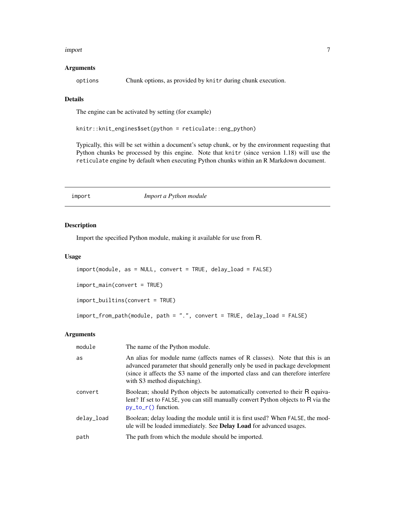#### <span id="page-6-0"></span>import 7

#### **Arguments**

options Chunk options, as provided by knitr during chunk execution.

# Details

The engine can be activated by setting (for example)

knitr::knit\_engines\$set(python = reticulate::eng\_python)

Typically, this will be set within a document's setup chunk, or by the environment requesting that Python chunks be processed by this engine. Note that knitr (since version 1.18) will use the reticulate engine by default when executing Python chunks within an R Markdown document.

import *Import a Python module*

#### Description

Import the specified Python module, making it available for use from R.

#### Usage

```
import(module, as = NULL, convert = TRUE, delay_load = FALSE)
import_main(convert = TRUE)
import_builtins(convert = TRUE)
import_from_path(module, path = ".", convert = TRUE, delay_load = FALSE)
```

| module     | The name of the Python module.                                                                                                                                                                                                                                                 |
|------------|--------------------------------------------------------------------------------------------------------------------------------------------------------------------------------------------------------------------------------------------------------------------------------|
| as         | An alias for module name (affects names of R classes). Note that this is an<br>advanced parameter that should generally only be used in package development<br>(since it affects the S3 name of the imported class and can therefore interfere<br>with S3 method dispatching). |
| convert    | Boolean; should Python objects be automatically converted to their R equiva-<br>lent? If set to FALSE, you can still manually convert Python objects to R via the<br>$py_to_r()$ function.                                                                                     |
| delay_load | Boolean; delay loading the module until it is first used? When FALSE, the mod-<br>ule will be loaded immediately. See <b>Delay Load</b> for advanced usages.                                                                                                                   |
| path       | The path from which the module should be imported.                                                                                                                                                                                                                             |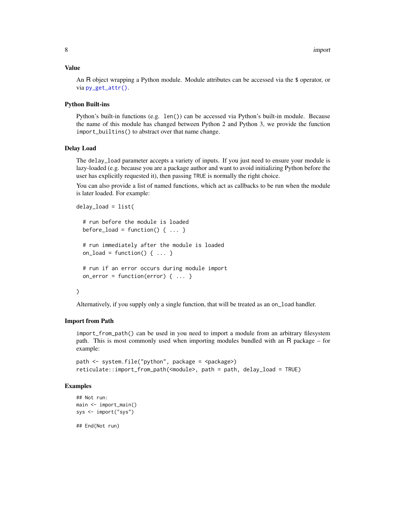#### <span id="page-7-0"></span>Value

An R object wrapping a Python module. Module attributes can be accessed via the \$ operator, or via [py\\_get\\_attr\(\)](#page-17-1).

# Python Built-ins

Python's built-in functions (e.g. len()) can be accessed via Python's built-in module. Because the name of this module has changed between Python 2 and Python 3, we provide the function import\_builtins() to abstract over that name change.

#### Delay Load

The delay\_load parameter accepts a variety of inputs. If you just need to ensure your module is lazy-loaded (e.g. because you are a package author and want to avoid initializing Python before the user has explicitly requested it), then passing TRUE is normally the right choice.

You can also provide a list of named functions, which act as callbacks to be run when the module is later loaded. For example:

```
delay_load = list(
```

```
# run before the module is loaded
before_load = function() \{ \ldots \}# run immediately after the module is loaded
on_load = function() \{ \ldots \}# run if an error occurs during module import
on_error = function(error) \{ \ldots \}
```
# )

Alternatively, if you supply only a single function, that will be treated as an on\_load handler.

#### Import from Path

import\_from\_path() can be used in you need to import a module from an arbitrary filesystem path. This is most commonly used when importing modules bundled with an R package – for example:

```
path <- system.file("python", package = <package>)
reticulate::import_from_path(<module>, path = path, delay_load = TRUE)
```
#### Examples

```
## Not run:
main <- import_main()
sys <- import("sys")
```
## End(Not run)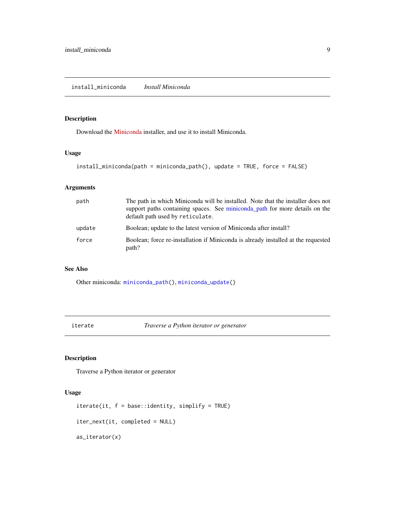<span id="page-8-1"></span><span id="page-8-0"></span>install\_miniconda *Install Miniconda*

# Description

Download the [Miniconda](https://docs.conda.io/en/latest/miniconda.html) installer, and use it to install Miniconda.

#### Usage

```
install_miniconda(path = miniconda_path(), update = TRUE, force = FALSE)
```
# Arguments

| path   | The path in which Miniconda will be installed. Note that the installer does not<br>support paths containing spaces. See miniconda path for more details on the<br>default path used by reticulate. |
|--------|----------------------------------------------------------------------------------------------------------------------------------------------------------------------------------------------------|
| update | Boolean; update to the latest version of Miniconda after install?                                                                                                                                  |
| force  | Boolean; force re-installation if Miniconda is already installed at the requested<br>path?                                                                                                         |

#### See Also

Other miniconda: [miniconda\\_path\(](#page-9-1)), [miniconda\\_update\(](#page-10-1))

iterate *Traverse a Python iterator or generator*

# Description

Traverse a Python iterator or generator

#### Usage

```
iterate(it, f = base::identity, simplify = TRUE)iter_next(it, completed = NULL)
as_iterator(x)
```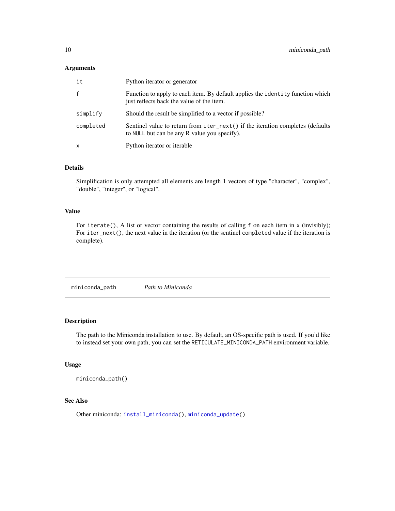# <span id="page-9-0"></span>Arguments

| it           | Python iterator or generator                                                                                                   |
|--------------|--------------------------------------------------------------------------------------------------------------------------------|
| $\mathbf{f}$ | Function to apply to each item. By default applies the identity function which<br>just reflects back the value of the item.    |
| simplify     | Should the result be simplified to a vector if possible?                                                                       |
| completed    | Sentinel value to return from iter_next() if the iteration completes (defaults<br>to NULL but can be any R value you specify). |
| X            | Python iterator or iterable                                                                                                    |

# Details

Simplification is only attempted all elements are length 1 vectors of type "character", "complex", "double", "integer", or "logical".

#### Value

For iterate(), A list or vector containing the results of calling f on each item in x (invisibly); For iter\_next(), the next value in the iteration (or the sentinel completed value if the iteration is complete).

<span id="page-9-1"></span>miniconda\_path *Path to Miniconda*

#### Description

The path to the Miniconda installation to use. By default, an OS-specific path is used. If you'd like to instead set your own path, you can set the RETICULATE\_MINICONDA\_PATH environment variable.

#### Usage

miniconda\_path()

# See Also

Other miniconda: [install\\_miniconda\(](#page-8-1)), [miniconda\\_update\(](#page-10-1))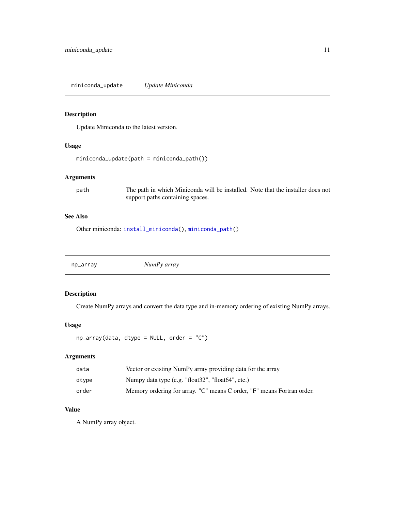<span id="page-10-1"></span><span id="page-10-0"></span>miniconda\_update *Update Miniconda*

#### Description

Update Miniconda to the latest version.

# Usage

```
miniconda_update(path = miniconda_path())
```
# Arguments

path The path in which Miniconda will be installed. Note that the installer does not support paths containing spaces.

# See Also

Other miniconda: [install\\_miniconda\(](#page-8-1)), [miniconda\\_path\(](#page-9-1))

np\_array *NumPy array*

# Description

Create NumPy arrays and convert the data type and in-memory ordering of existing NumPy arrays.

#### Usage

```
np_array(data, dtype = NULL, order = "C")
```
# Arguments

| data  | Vector or existing NumPy array providing data for the array            |
|-------|------------------------------------------------------------------------|
| dtvpe | Numpy data type (e.g. "float32", "float64", etc.)                      |
| order | Memory ordering for array. "C" means C order, "F" means Fortran order. |

# Value

A NumPy array object.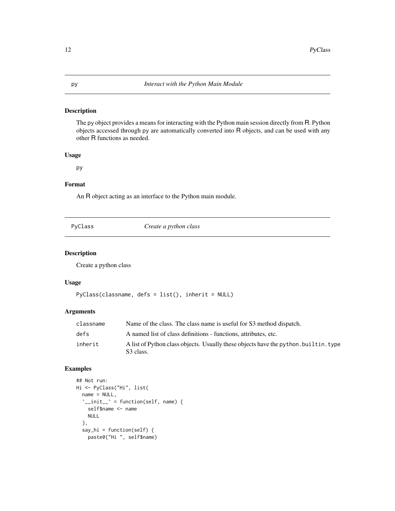<span id="page-11-1"></span><span id="page-11-0"></span>The py object provides a means for interacting with the Python main session directly from R. Python objects accessed through py are automatically converted into R objects, and can be used with any other R functions as needed.

#### Usage

py

#### Format

An R object acting as an interface to the Python main module.

| vC L<br>d. |
|------------|
|------------|

Create a python class

# Description

Create a python class

#### Usage

```
PyClass(classname, defs = list(), inherit = NULL)
```
#### Arguments

| classname | Name of the class. The class name is useful for S3 method dispatch.                               |
|-----------|---------------------------------------------------------------------------------------------------|
| defs      | A named list of class definitions - functions, attributes, etc.                                   |
| inherit   | A list of Python class objects. Usually these objects have the python, builtin, type<br>S3 class. |

# Examples

```
## Not run:
Hi <- PyClass("Hi", list(
  name = NULL,
  \sum_{i=1}^{n} init__\sum_{i=1}^{n} = function(self, name) {
    self$name <- name
    NULL
  },
  say_hi = function(self) {
    paste0("Hi ", self$name)
```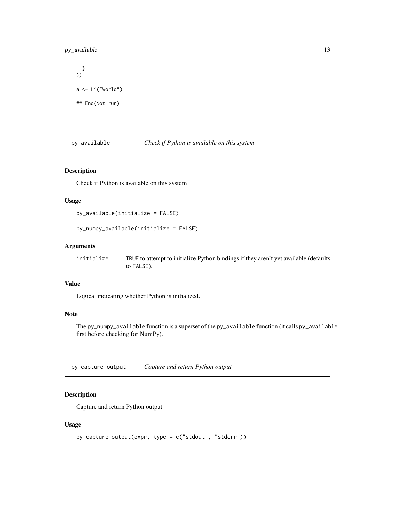# <span id="page-12-0"></span>py\_available 13

```
}
))
a \leftarrow Hi("World")## End(Not run)
```
py\_available *Check if Python is available on this system*

# Description

Check if Python is available on this system

#### Usage

```
py_available(initialize = FALSE)
```
py\_numpy\_available(initialize = FALSE)

#### Arguments

| initialize | TRUE to attempt to initialize Python bindings if they aren't yet available (defaults |
|------------|--------------------------------------------------------------------------------------|
|            | to FALSE).                                                                           |

# Value

Logical indicating whether Python is initialized.

# Note

The py\_numpy\_available function is a superset of the py\_available function (it calls py\_available first before checking for NumPy).

py\_capture\_output *Capture and return Python output*

# Description

Capture and return Python output

# Usage

```
py_capture_output(expr, type = c("stdout", "stderr"))
```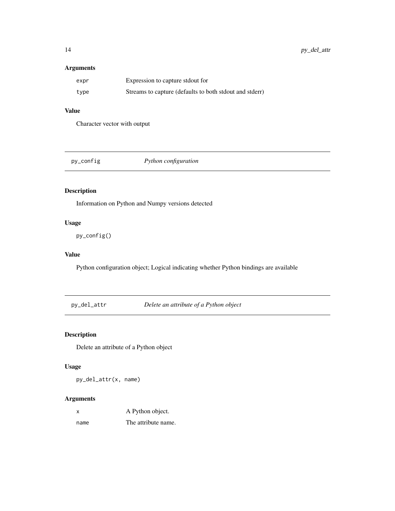# <span id="page-13-0"></span>Arguments

| expr | Expression to capture stdout for                        |
|------|---------------------------------------------------------|
| type | Streams to capture (defaults to both stdout and stderr) |

# Value

Character vector with output

| py_config | Python configuration |
|-----------|----------------------|
|-----------|----------------------|

# Description

Information on Python and Numpy versions detected

## Usage

py\_config()

#### Value

Python configuration object; Logical indicating whether Python bindings are available

py\_del\_attr *Delete an attribute of a Python object*

# Description

Delete an attribute of a Python object

# Usage

py\_del\_attr(x, name)

| x    | A Python object.    |
|------|---------------------|
| name | The attribute name. |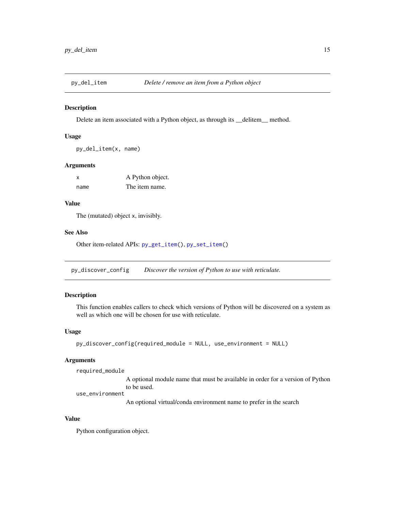<span id="page-14-1"></span><span id="page-14-0"></span>

Delete an item associated with a Python object, as through its \_\_delitem\_\_ method.

#### Usage

```
py_del_item(x, name)
```
#### Arguments

| x    | A Python object. |
|------|------------------|
| name | The item name.   |

#### Value

The (mutated) object x, invisibly.

#### See Also

Other item-related APIs: [py\\_get\\_item\(](#page-18-1)), [py\\_set\\_item\(](#page-27-1))

py\_discover\_config *Discover the version of Python to use with reticulate.*

# Description

This function enables callers to check which versions of Python will be discovered on a system as well as which one will be chosen for use with reticulate.

#### Usage

```
py_discover_config(required_module = NULL, use_environment = NULL)
```
# Arguments

required\_module

A optional module name that must be available in order for a version of Python to be used.

use\_environment

An optional virtual/conda environment name to prefer in the search

#### Value

Python configuration object.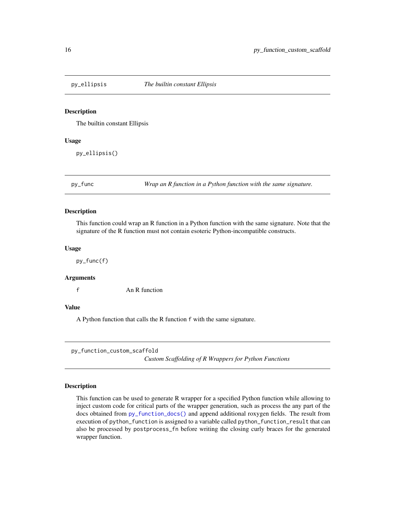<span id="page-15-0"></span>

The builtin constant Ellipsis

#### Usage

py\_ellipsis()

py\_func *Wrap an R function in a Python function with the same signature.*

#### Description

This function could wrap an R function in a Python function with the same signature. Note that the signature of the R function must not contain esoteric Python-incompatible constructs.

#### Usage

py\_func(f)

#### **Arguments**

f An R function

#### Value

A Python function that calls the R function f with the same signature.

py\_function\_custom\_scaffold

*Custom Scaffolding of R Wrappers for Python Functions*

#### **Description**

This function can be used to generate R wrapper for a specified Python function while allowing to inject custom code for critical parts of the wrapper generation, such as process the any part of the docs obtained from [py\\_function\\_docs\(\)](#page-0-0) and append additional roxygen fields. The result from execution of python\_function is assigned to a variable called python\_function\_result that can also be processed by postprocess\_fn before writing the closing curly braces for the generated wrapper function.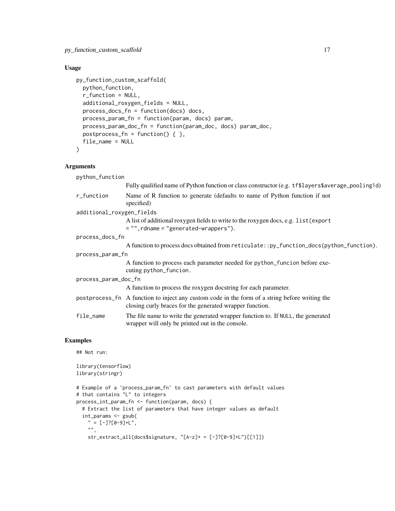# Usage

```
py_function_custom_scaffold(
 python_function,
  r_function = NULL,
  additional_roxygen_fields = NULL,
  process_docs_fn = function(docs) docs,
 process_param_fn = function(param, docs) param,
  process_param_doc_fn = function(param_doc, docs) param_doc,
 postprocess_fn = function() { \},
 file_name = NULL
\mathcal{L}
```
#### Arguments

| python_function           |                                                                                                                                                            |
|---------------------------|------------------------------------------------------------------------------------------------------------------------------------------------------------|
|                           | Fully qualified name of Python function or class constructor (e.g. tf\$layers\$average_pooling1d)                                                          |
| r_function                | Name of R function to generate (defaults to name of Python function if not<br>specified)                                                                   |
| additional_roxygen_fields |                                                                                                                                                            |
|                           | A list of additional roxygen fields to write to the roxygen docs, e.g. list (export<br>$= "",$ rdname $= "generated-wrappers").$                           |
| process_docs_fn           |                                                                                                                                                            |
|                           | A function to process does obtained from reticulate::py_function_docs(python_function).                                                                    |
| process_param_fn          |                                                                                                                                                            |
|                           | A function to process each parameter needed for python_funcion before exe-<br>cuting python_funcion.                                                       |
| process_param_doc_fn      |                                                                                                                                                            |
|                           | A function to process the roxygen docstring for each parameter.                                                                                            |
|                           | postprocess_fn A function to inject any custom code in the form of a string before writing the<br>closing curly braces for the generated wrapper function. |
| file_name                 | The file name to write the generated wrapper function to. If NULL, the generated<br>wrapper will only be printed out in the console.                       |

# Examples

## Not run:

```
library(tensorflow)
library(stringr)
# Example of a `process_param_fn` to cast parameters with default values
# that contains "L" to integers
process_int_param_fn <- function(param, docs) {
  # Extract the list of parameters that have integer values as default
  int_params <- gsub(
    " = [-] ? [0 - 9] + L",".
    str_extract_all(docs$signature, "[A-z]+ = [-]?[0-9]+L")[[1]])
```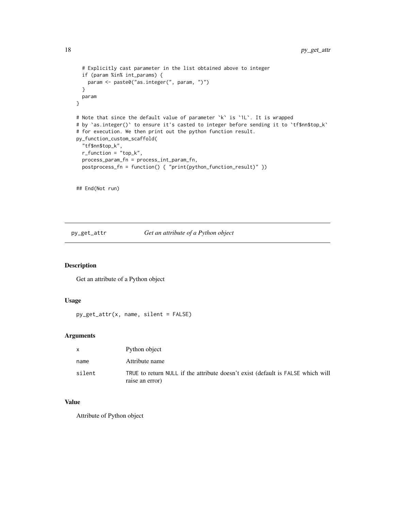```
# Explicitly cast parameter in the list obtained above to integer
 if (param %in% int_params) {
   param <- paste0("as.integer(", param, ")")
 }
 param
}
# Note that since the default value of parameter `k` is `1L`. It is wrapped
# by `as.integer()` to ensure it's casted to integer before sending it to `tf$nn$top_k`
# for execution. We then print out the python function result.
py_function_custom_scaffold(
  "tf$nn$top_k",
 r_function = "top_k",
 process_param_fn = process_int_param_fn,
 postprocess_fn = function() { "print(python_function_result)" })
```
## End(Not run)

<span id="page-17-1"></span>py\_get\_attr *Get an attribute of a Python object*

#### Description

Get an attribute of a Python object

# Usage

```
py_get_attr(x, name, silent = FALSE)
```
#### Arguments

|        | Python object                                                                                      |
|--------|----------------------------------------------------------------------------------------------------|
| name   | Attribute name                                                                                     |
| silent | TRUE to return NULL if the attribute doesn't exist (default is FALSE which will<br>raise an error) |

#### Value

Attribute of Python object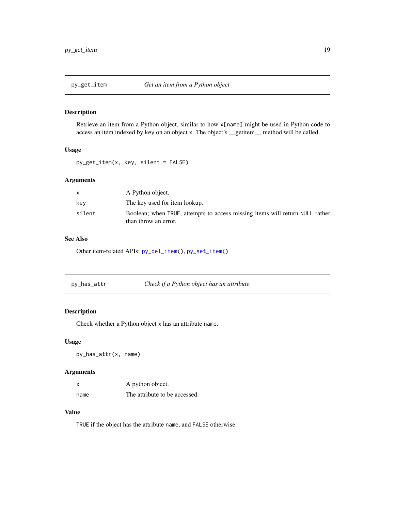<span id="page-18-1"></span><span id="page-18-0"></span>

Retrieve an item from a Python object, similar to how x[name] might be used in Python code to access an item indexed by key on an object x. The object's \_\_getitem\_\_ method will be called.

#### Usage

py\_get\_item(x, key, silent = FALSE)

# Arguments

|        | A Python object.                                                                                     |
|--------|------------------------------------------------------------------------------------------------------|
| kev    | The key used for item lookup.                                                                        |
| silent | Boolean; when TRUE, attempts to access missing items will return NULL rather<br>than throw an error. |

# See Also

Other item-related APIs: [py\\_del\\_item\(](#page-14-1)), [py\\_set\\_item\(](#page-27-1))

| py_has_attr | Check if a Python object has an attribute |
|-------------|-------------------------------------------|
|-------------|-------------------------------------------|

#### Description

Check whether a Python object x has an attribute name.

#### Usage

py\_has\_attr(x, name)

# Arguments

| x    | A python object.              |
|------|-------------------------------|
| name | The attribute to be accessed. |

# Value

TRUE if the object has the attribute name, and FALSE otherwise.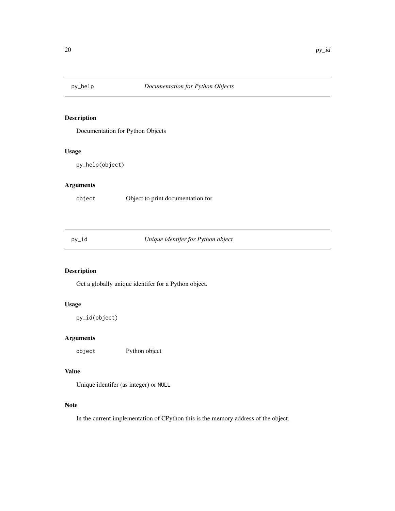<span id="page-19-0"></span>

Documentation for Python Objects

#### Usage

py\_help(object)

# Arguments

object Object to print documentation for

py\_id *Unique identifer for Python object*

# Description

Get a globally unique identifer for a Python object.

# Usage

py\_id(object)

# Arguments

object Python object

#### Value

Unique identifer (as integer) or NULL

#### Note

In the current implementation of CPython this is the memory address of the object.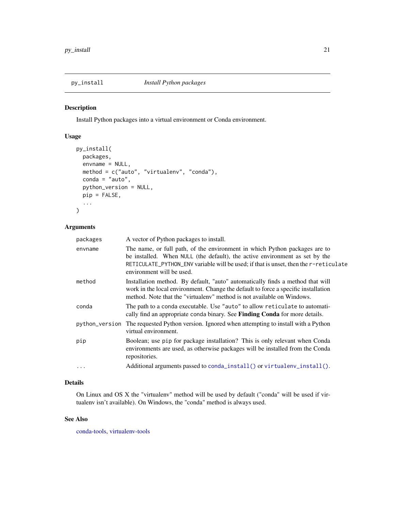<span id="page-20-0"></span>

Install Python packages into a virtual environment or Conda environment.

# Usage

```
py_install(
 packages,
  envname = NULL,
 method = c("auto", "virtualenv", "conda"),
 conda = "auto",
 python_version = NULL,
 pip = FALSE,
  ...
\mathcal{L}
```
# Arguments

| packages | A vector of Python packages to install.                                                                                                                                                                                                                                        |
|----------|--------------------------------------------------------------------------------------------------------------------------------------------------------------------------------------------------------------------------------------------------------------------------------|
| envname  | The name, or full path, of the environment in which Python packages are to<br>be installed. When NULL (the default), the active environment as set by the<br>RETICULATE_PYTHON_ENV variable will be used; if that is unset, then the r-reticulate<br>environment will be used. |
| method   | Installation method. By default, "auto" automatically finds a method that will<br>work in the local environment. Change the default to force a specific installation<br>method. Note that the "virtualenv" method is not available on Windows.                                 |
| conda    | The path to a conda executable. Use "auto" to allow reticulate to automati-<br>cally find an appropriate conda binary. See <b>Finding Conda</b> for more details.                                                                                                              |
|          | python_version The requested Python version. Ignored when attempting to install with a Python<br>virtual environment.                                                                                                                                                          |
| pip      | Boolean; use pip for package installation? This is only relevant when Conda<br>environments are used, as otherwise packages will be installed from the Conda<br>repositories.                                                                                                  |
| $\cdot$  | Additional arguments passed to conda_install() or virtualenv_install().                                                                                                                                                                                                        |

# Details

On Linux and OS X the "virtualenv" method will be used by default ("conda" will be used if virtualenv isn't available). On Windows, the "conda" method is always used.

# See Also

[conda-tools,](#page-0-0) [virtualenv-tools](#page-33-2)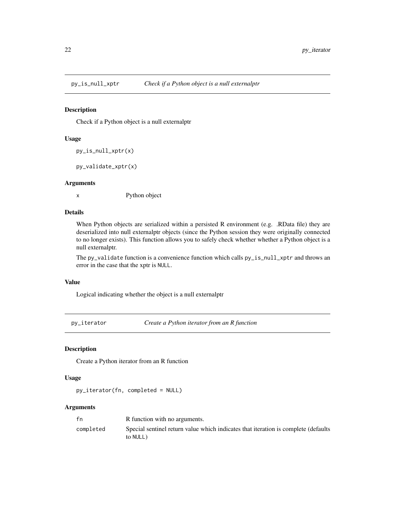<span id="page-21-0"></span>

Check if a Python object is a null externalptr

#### Usage

py\_is\_null\_xptr(x)

py\_validate\_xptr(x)

#### Arguments

x Python object

#### Details

When Python objects are serialized within a persisted R environment (e.g. .RData file) they are deserialized into null externalptr objects (since the Python session they were originally connected to no longer exists). This function allows you to safely check whether whether a Python object is a null externalptr.

The py\_validate function is a convenience function which calls py\_is\_null\_xptr and throws an error in the case that the xptr is NULL.

#### Value

Logical indicating whether the object is a null externalptr

py\_iterator *Create a Python iterator from an R function*

#### Description

Create a Python iterator from an R function

#### Usage

py\_iterator(fn, completed = NULL)

| fn        | R function with no arguments.                                                                  |
|-----------|------------------------------------------------------------------------------------------------|
| completed | Special sentinel return value which indicates that iteration is complete (defaults<br>to NULL) |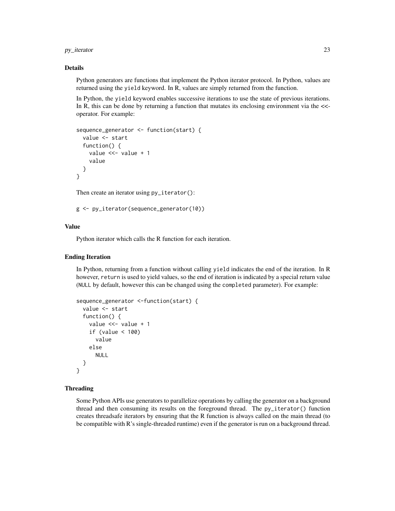py\_iterator 23

#### Details

Python generators are functions that implement the Python iterator protocol. In Python, values are returned using the yield keyword. In R, values are simply returned from the function.

In Python, the yield keyword enables successive iterations to use the state of previous iterations. In R, this can be done by returning a function that mutates its enclosing environment via the  $\lt$ operator. For example:

```
sequence_generator <- function(start) {
  value <- start
  function() {
    value <<- value + 1
    value
  }
}
```
Then create an iterator using  $py$ \_iterator():

```
g <- py_iterator(sequence_generator(10))
```
# Value

Python iterator which calls the R function for each iteration.

#### Ending Iteration

In Python, returning from a function without calling yield indicates the end of the iteration. In R however, return is used to yield values, so the end of iteration is indicated by a special return value (NULL by default, however this can be changed using the completed parameter). For example:

```
sequence_generator <-function(start) {
  value <- start
  function() {
   value <<- value + 1
    if (value < 100)
      value
   else
      NULL
  }
}
```
#### Threading

Some Python APIs use generators to parallelize operations by calling the generator on a background thread and then consuming its results on the foreground thread. The py\_iterator() function creates threadsafe iterators by ensuring that the R function is always called on the main thread (to be compatible with R's single-threaded runtime) even if the generator is run on a background thread.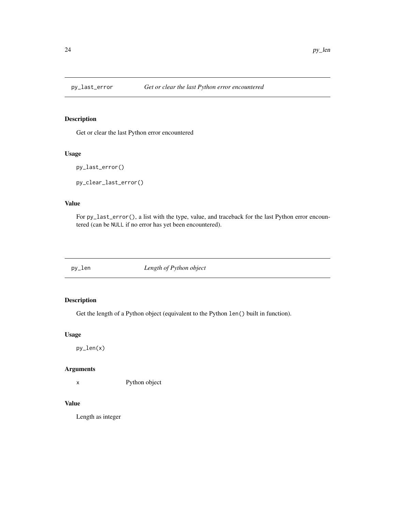<span id="page-23-0"></span>

Get or clear the last Python error encountered

#### Usage

```
py_last_error()
```
py\_clear\_last\_error()

# Value

For py\_last\_error(), a list with the type, value, and traceback for the last Python error encountered (can be NULL if no error has yet been encountered).

py\_len *Length of Python object*

# Description

Get the length of a Python object (equivalent to the Python len() built in function).

#### Usage

py\_len(x)

# Arguments

x Python object

#### Value

Length as integer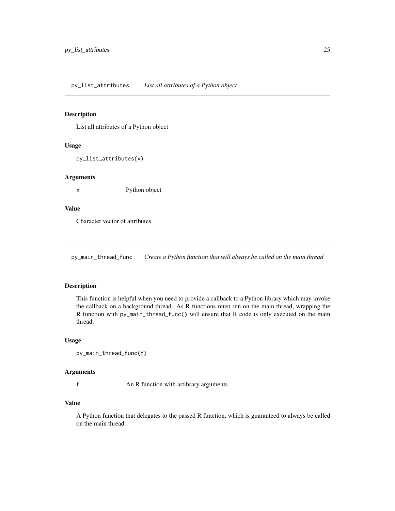<span id="page-24-0"></span>List all attributes of a Python object

#### Usage

py\_list\_attributes(x)

#### Arguments

x Python object

# Value

Character vector of attributes

py\_main\_thread\_func *Create a Python function that will always be called on the main thread*

### Description

This function is helpful when you need to provide a callback to a Python library which may invoke the callback on a background thread. As R functions must run on the main thread, wrapping the R function with py\_main\_thread\_func() will ensure that R code is only executed on the main thread.

# Usage

```
py_main_thread_func(f)
```
# Arguments

f An R function with artibrary arguments

#### Value

A Python function that delegates to the passed R function, which is guaranteed to always be called on the main thread.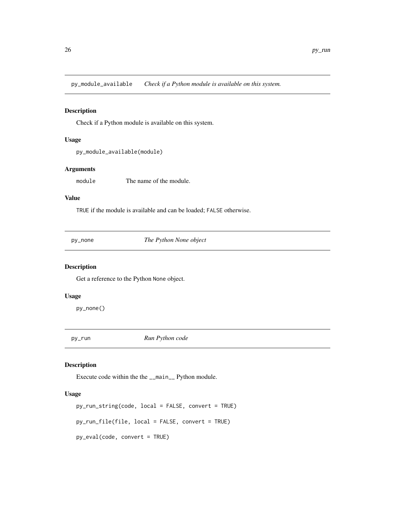<span id="page-25-0"></span>py\_module\_available *Check if a Python module is available on this system.*

#### Description

Check if a Python module is available on this system.

#### Usage

py\_module\_available(module)

# Arguments

module The name of the module.

#### Value

TRUE if the module is available and can be loaded; FALSE otherwise.

py\_none *The Python None object*

# Description

Get a reference to the Python None object.

#### Usage

py\_none()

py\_run *Run Python code*

#### Description

Execute code within the the \_\_main\_\_ Python module.

# Usage

```
py_run_string(code, local = FALSE, convert = TRUE)
py_run_file(file, local = FALSE, convert = TRUE)
py_eval(code, convert = TRUE)
```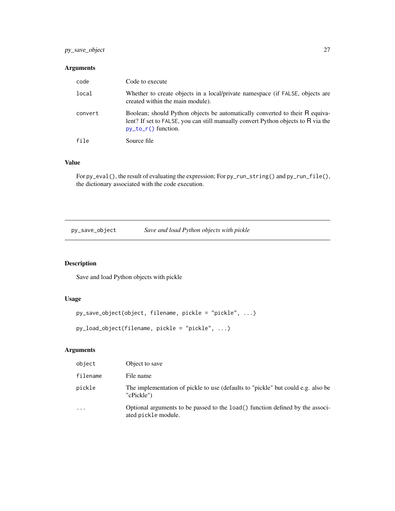# <span id="page-26-0"></span>py\_save\_object 27

# Arguments

| code    | Code to execute                                                                                                                                                                            |
|---------|--------------------------------------------------------------------------------------------------------------------------------------------------------------------------------------------|
| local   | Whether to create objects in a local/private namespace (if FALSE, objects are<br>created within the main module).                                                                          |
| convert | Boolean; should Python objects be automatically converted to their R equiva-<br>lent? If set to FALSE, you can still manually convert Python objects to R via the<br>$py_to_r()$ function. |
| file    | Source file                                                                                                                                                                                |

#### Value

For py\_eval(), the result of evaluating the expression; For py\_run\_string() and py\_run\_file(), the dictionary associated with the code execution.

py\_save\_object *Save and load Python objects with pickle*

# Description

Save and load Python objects with pickle

# Usage

```
py_save_object(object, filename, pickle = "pickle", ...)
```
py\_load\_object(filename, pickle = "pickle", ...)

| object    | Object to save                                                                                        |
|-----------|-------------------------------------------------------------------------------------------------------|
| filename  | File name                                                                                             |
| pickle    | The implementation of pickle to use (defaults to "pickle" but could e.g. also be<br>"cPickle")        |
| $\ddotsc$ | Optional arguments to be passed to the load () function defined by the associ-<br>ated pickle module. |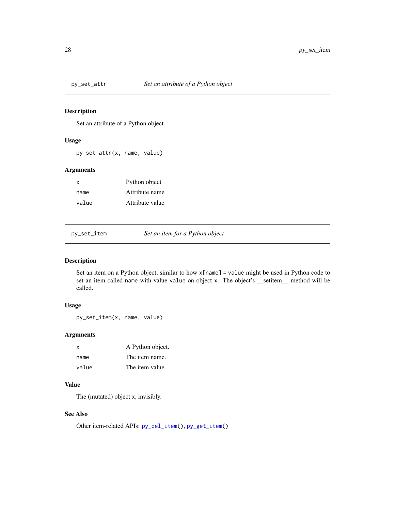<span id="page-27-0"></span>

Set an attribute of a Python object

#### Usage

py\_set\_attr(x, name, value)

# Arguments

| X     | Python object   |
|-------|-----------------|
| name  | Attribute name  |
| value | Attribute value |

<span id="page-27-1"></span>py\_set\_item *Set an item for a Python object*

# Description

Set an item on a Python object, similar to how x[name] = value might be used in Python code to set an item called name with value value on object x. The object's \_\_setitem\_\_ method will be called.

# Usage

py\_set\_item(x, name, value)

## Arguments

| x     | A Python object. |
|-------|------------------|
| name  | The item name.   |
| value | The item value.  |

# Value

The (mutated) object x, invisibly.

# See Also

Other item-related APIs: [py\\_del\\_item\(](#page-14-1)), [py\\_get\\_item\(](#page-18-1))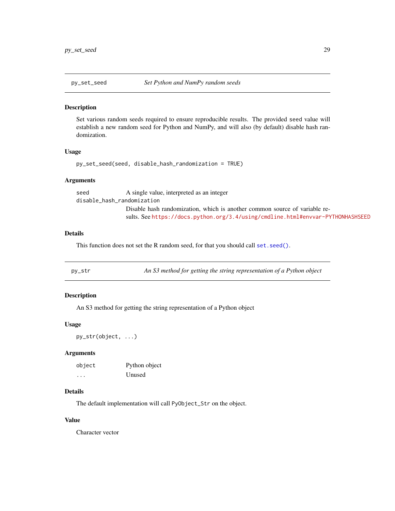<span id="page-28-0"></span>

Set various random seeds required to ensure reproducible results. The provided seed value will establish a new random seed for Python and NumPy, and will also (by default) disable hash randomization.

#### Usage

```
py_set_seed(seed, disable_hash_randomization = TRUE)
```
#### Arguments

seed A single value, interpreted as an integer disable\_hash\_randomization Disable hash randomization, which is another common source of variable results. See <https://docs.python.org/3.4/using/cmdline.html#envvar-PYTHONHASHSEED>

# Details

This function does not set the R random seed, for that you should call [set.seed\(\)](#page-0-0).

py\_str *An S3 method for getting the string representation of a Python object*

#### Description

An S3 method for getting the string representation of a Python object

#### Usage

py\_str(object, ...)

#### Arguments

| object   | Python object |
|----------|---------------|
| $\cdots$ | Unused        |

#### Details

The default implementation will call PyObject\_Str on the object.

#### Value

Character vector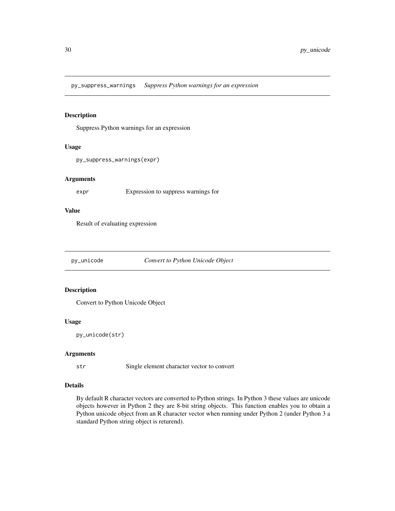<span id="page-29-0"></span>py\_suppress\_warnings *Suppress Python warnings for an expression*

#### Description

Suppress Python warnings for an expression

#### Usage

```
py_suppress_warnings(expr)
```
#### Arguments

expr Expression to suppress warnings for

# Value

Result of evaluating expression

py\_unicode *Convert to Python Unicode Object*

# Description

Convert to Python Unicode Object

#### Usage

```
py_unicode(str)
```
#### Arguments

str Single element character vector to convert

# Details

By default R character vectors are converted to Python strings. In Python 3 these values are unicode objects however in Python 2 they are 8-bit string objects. This function enables you to obtain a Python unicode object from an R character vector when running under Python 2 (under Python 3 a standard Python string object is returend).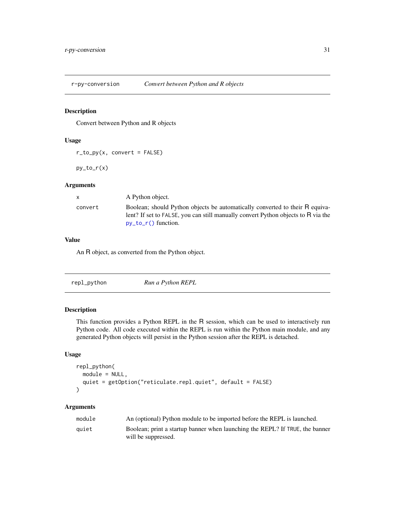<span id="page-30-1"></span><span id="page-30-0"></span>

Convert between Python and R objects

#### Usage

 $r_to.py(x, convert = FALSE)$ 

 $py_to_r(x)$ 

#### Arguments

| X       | A Python object.                                                                                                                                                                           |
|---------|--------------------------------------------------------------------------------------------------------------------------------------------------------------------------------------------|
| convert | Boolean; should Python objects be automatically converted to their R equiva-<br>lent? If set to FALSE, you can still manually convert Python objects to R via the<br>$py_to_r()$ function. |

#### Value

An R object, as converted from the Python object.

| Run a Python REPL<br>repl_python |
|----------------------------------|

#### Description

This function provides a Python REPL in the R session, which can be used to interactively run Python code. All code executed within the REPL is run within the Python main module, and any generated Python objects will persist in the Python session after the REPL is detached.

# Usage

```
repl_python(
  module = NULL,
  quiet = getOption("reticulate.repl.quiet", default = FALSE)
\mathcal{L}
```

| module | An (optional) Python module to be imported before the REPL is launched.      |
|--------|------------------------------------------------------------------------------|
| quiet  | Boolean; print a startup banner when launching the REPL? If TRUE, the banner |
|        | will be suppressed.                                                          |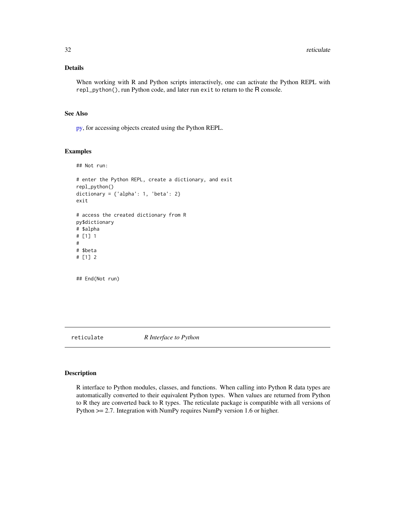# <span id="page-31-0"></span>Details

When working with R and Python scripts interactively, one can activate the Python REPL with repl\_python(), run Python code, and later run exit to return to the R console.

# See Also

[py,](#page-11-1) for accessing objects created using the Python REPL.

#### Examples

```
## Not run:
# enter the Python REPL, create a dictionary, and exit
repl_python()
dictionary = \{ 'alpha': 1, 'beta': 2 \}exit
# access the created dictionary from R
py$dictionary
# $alpha
# [1] 1
#
# $beta
# [1] 2
## End(Not run)
```
reticulate *R Interface to Python*

# Description

R interface to Python modules, classes, and functions. When calling into Python R data types are automatically converted to their equivalent Python types. When values are returned from Python to R they are converted back to R types. The reticulate package is compatible with all versions of Python >= 2.7. Integration with NumPy requires NumPy version 1.6 or higher.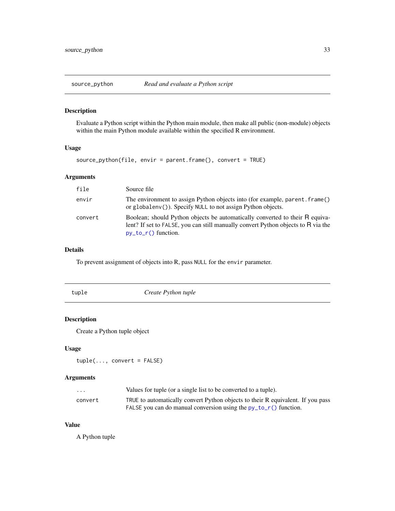<span id="page-32-0"></span>

Evaluate a Python script within the Python main module, then make all public (non-module) objects within the main Python module available within the specified R environment.

#### Usage

```
source_python(file, envir = parent.frame(), convert = TRUE)
```
# Arguments

| file    | Source file                                                                                                                                                                                |
|---------|--------------------------------------------------------------------------------------------------------------------------------------------------------------------------------------------|
| envir   | The environment to assign Python objects into (for example, parent. frame()<br>or globaleny ()). Specify NULL to not assign Python objects.                                                |
| convert | Boolean; should Python objects be automatically converted to their R equiva-<br>lent? If set to FALSE, you can still manually convert Python objects to R via the<br>$py_to_r()$ function. |

# Details

To prevent assignment of objects into R, pass NULL for the envir parameter.

| tuple | Create Python tuple |  |
|-------|---------------------|--|
|-------|---------------------|--|

# Description

Create a Python tuple object

#### Usage

```
tuple(..., convert = FALSE)
```
#### Arguments

| .       | Values for tuple (or a single list to be converted to a tuple).                 |
|---------|---------------------------------------------------------------------------------|
| convert | TRUE to automatically convert Python objects to their R equivalent. If you pass |
|         | FALSE you can do manual conversion using the $py_to_r()$ function.              |

# Value

A Python tuple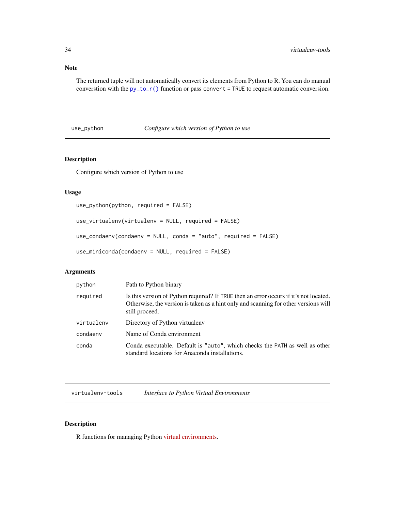#### Note

The returned tuple will not automatically convert its elements from Python to R. You can do manual converstion with the [py\\_to\\_r\(\)](#page-30-1) function or pass convert = TRUE to request automatic conversion.

# use\_python *Configure which version of Python to use*

# **Description**

Configure which version of Python to use

#### Usage

```
use_python(python, required = FALSE)
```

```
use_virtualenv(virtualenv = NULL, required = FALSE)
```

```
use_condaenv(condaenv = NULL, conda = "auto", required = FALSE)
```

```
use_miniconda(condaenv = NULL, required = FALSE)
```
# Arguments

| python     | Path to Python binary                                                                                                                                                                          |
|------------|------------------------------------------------------------------------------------------------------------------------------------------------------------------------------------------------|
| required   | Is this version of Python required? If TRUE then an error occurs if it's not located.<br>Otherwise, the version is taken as a hint only and scanning for other versions will<br>still proceed. |
| virtualenv | Directory of Python virtualeny                                                                                                                                                                 |
| condaeny   | Name of Conda environment                                                                                                                                                                      |
| conda      | Conda executable. Default is "auto", which checks the PATH as well as other<br>standard locations for Anaconda installations.                                                                  |

<span id="page-33-2"></span>virtualenv-tools *Interface to Python Virtual Environments*

# <span id="page-33-1"></span>Description

R functions for managing Python [virtual environments.](https://virtualenv.pypa.io/en/stable/)

<span id="page-33-0"></span>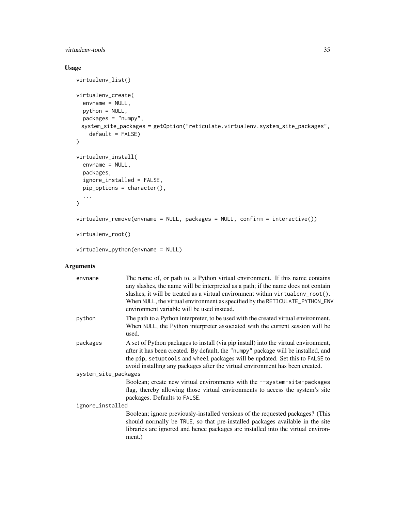# virtualenv-tools 35

# Usage

```
virtualenv_list()
virtualenv_create(
 envname = NULL,
 python = NULL,
 packages = "numpy",
 system_site_packages = getOption("reticulate.virtualenv.system_site_packages",
    default = FALSE))
virtualenv_install(
 envname = NULL,packages,
  ignore_installed = FALSE,
 pip_options = character(),
  ...
\lambdavirtualenv_remove(envname = NULL, packages = NULL, confirm = interactive())
virtualenv_root()
```
virtualenv\_python(envname = NULL)

| envname              | The name of, or path to, a Python virtual environment. If this name contains<br>any slashes, the name will be interpreted as a path; if the name does not contain<br>slashes, it will be treated as a virtual environment within virtual env_root().<br>When NULL, the virtual environment as specified by the RETICULATE_PYTHON_ENV<br>environment variable will be used instead. |  |
|----------------------|------------------------------------------------------------------------------------------------------------------------------------------------------------------------------------------------------------------------------------------------------------------------------------------------------------------------------------------------------------------------------------|--|
| python               | The path to a Python interpreter, to be used with the created virtual environment.<br>When NULL, the Python interpreter associated with the current session will be<br>used.                                                                                                                                                                                                       |  |
| packages             | A set of Python packages to install (via pip install) into the virtual environment,<br>after it has been created. By default, the "numpy" package will be installed, and<br>the pip, setuptools and wheel packages will be updated. Set this to FALSE to<br>avoid installing any packages after the virtual environment has been created.                                          |  |
| system_site_packages |                                                                                                                                                                                                                                                                                                                                                                                    |  |
|                      | Boolean; create new virtual environments with the --system-site-packages<br>flag, thereby allowing those virtual environments to access the system's site<br>packages. Defaults to FALSE.                                                                                                                                                                                          |  |
| ignore_installed     |                                                                                                                                                                                                                                                                                                                                                                                    |  |
|                      | Boolean; ignore previously-installed versions of the requested packages? (This<br>should normally be TRUE, so that pre-installed packages available in the site<br>libraries are ignored and hence packages are installed into the virtual environ-<br>ment.)                                                                                                                      |  |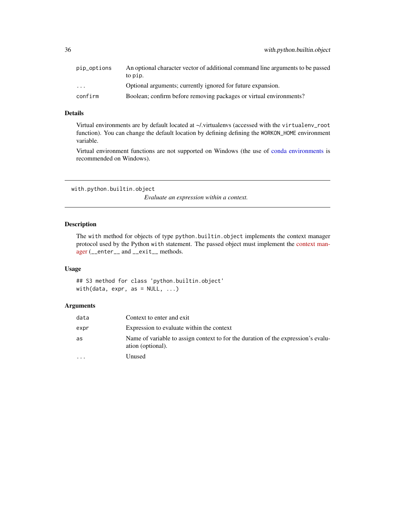<span id="page-35-0"></span>

| pip_options             | An optional character vector of additional command line arguments to be passed |
|-------------------------|--------------------------------------------------------------------------------|
|                         | to pip.                                                                        |
| $\cdot$ $\cdot$ $\cdot$ | Optional arguments; currently ignored for future expansion.                    |
| confirm                 | Boolean; confirm before removing packages or virtual environments?             |

#### Details

Virtual environments are by default located at ~/.virtualenvs (accessed with the virtualenv\_root function). You can change the default location by defining defining the WORKON\_HOME environment variable.

Virtual environment functions are not supported on Windows (the use of [conda environments](#page-0-0) is recommended on Windows).

with.python.builtin.object

*Evaluate an expression within a context.*

# Description

The with method for objects of type python.builtin.object implements the context manager protocol used by the Python with statement. The passed object must implement the [context man](https://docs.python.org/2/reference/datamodel.html#context-managers)[ager](https://docs.python.org/2/reference/datamodel.html#context-managers) (\_\_enter\_\_ and \_\_exit\_\_ methods.

#### Usage

## S3 method for class 'python.builtin.object' with(data,  $expr$ , as = NULL, ...)

| data                    | Context to enter and exit.                                                                             |
|-------------------------|--------------------------------------------------------------------------------------------------------|
| expr                    | Expression to evaluate within the context                                                              |
| as                      | Name of variable to assign context to for the duration of the expression's evalu-<br>ation (optional). |
| $\cdot$ $\cdot$ $\cdot$ | Unused                                                                                                 |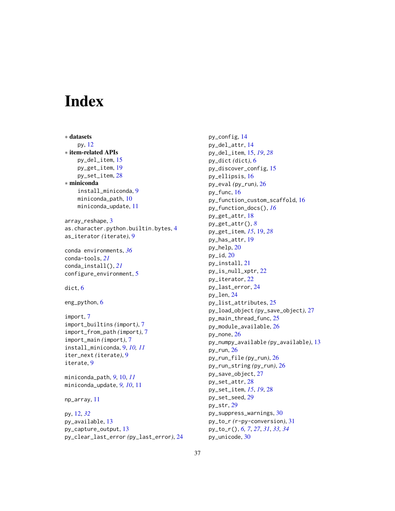# <span id="page-36-0"></span>**Index**

∗ datasets py, [12](#page-11-0) ∗ item-related APIs py\_del\_item, [15](#page-14-0) py\_get\_item, [19](#page-18-0) py\_set\_item, [28](#page-27-0) ∗ miniconda install\_miniconda, [9](#page-8-0) miniconda\_path, [10](#page-9-0) miniconda\_update, [11](#page-10-0)

array\_reshape, [3](#page-2-0) as.character.python.builtin.bytes, [4](#page-3-0) as\_iterator *(*iterate*)*, [9](#page-8-0)

conda environments, *[36](#page-35-0)* conda-tools, *[21](#page-20-0)* conda\_install(), *[21](#page-20-0)* configure\_environment, [5](#page-4-0)

dict, [6](#page-5-0)

eng\_python, [6](#page-5-0)

```
import, 7
import_builtins (import), 7
import_from_path (import), 7
import_main (import), 7
install_miniconda, 9, 10, 11
iter_next (iterate), 9
iterate, 9
```
miniconda\_path, *[9](#page-8-0)*, [10,](#page-9-0) *[11](#page-10-0)* miniconda\_update, *[9,](#page-8-0) [10](#page-9-0)*, [11](#page-10-0)

np\_array, [11](#page-10-0)

py, [12,](#page-11-0) *[32](#page-31-0)* py\_available, [13](#page-12-0) py\_capture\_output, [13](#page-12-0) py\_clear\_last\_error *(*py\_last\_error*)*, [24](#page-23-0)

py\_config, [14](#page-13-0) py\_del\_attr, [14](#page-13-0) py\_del\_item, [15,](#page-14-0) *[19](#page-18-0)*, *[28](#page-27-0)* py\_dict *(*dict*)*, [6](#page-5-0) py\_discover\_config, [15](#page-14-0) py\_ellipsis, [16](#page-15-0) py\_eval *(*py\_run*)*, [26](#page-25-0) py\_func, [16](#page-15-0) py\_function\_custom\_scaffold, [16](#page-15-0) py\_function\_docs(), *[16](#page-15-0)* py\_get\_attr, [18](#page-17-0) py\_get\_attr(), *[8](#page-7-0)* py\_get\_item, *[15](#page-14-0)*, [19,](#page-18-0) *[28](#page-27-0)* py\_has\_attr, [19](#page-18-0) py\_help, [20](#page-19-0)  $py$ \_id,  $20$ py\_install, [21](#page-20-0) py\_is\_null\_xptr, [22](#page-21-0) py\_iterator, [22](#page-21-0) py\_last\_error, [24](#page-23-0) py\_len, [24](#page-23-0) py\_list\_attributes, [25](#page-24-0) py\_load\_object *(*py\_save\_object*)*, [27](#page-26-0) py\_main\_thread\_func, [25](#page-24-0) py\_module\_available, [26](#page-25-0) py\_none, [26](#page-25-0) py\_numpy\_available *(*py\_available*)*, [13](#page-12-0) py\_run, [26](#page-25-0) py\_run\_file *(*py\_run*)*, [26](#page-25-0) py\_run\_string *(*py\_run*)*, [26](#page-25-0) py\_save\_object, [27](#page-26-0) py\_set\_attr, [28](#page-27-0) py\_set\_item, *[15](#page-14-0)*, *[19](#page-18-0)*, [28](#page-27-0) py\_set\_seed, [29](#page-28-0) py\_str, [29](#page-28-0) py\_suppress\_warnings, [30](#page-29-0) py\_to\_r *(*r-py-conversion*)*, [31](#page-30-0) py\_to\_r(), *[6,](#page-5-0) [7](#page-6-0)*, *[27](#page-26-0)*, *[31](#page-30-0)*, *[33,](#page-32-0) [34](#page-33-0)* py\_unicode, [30](#page-29-0)